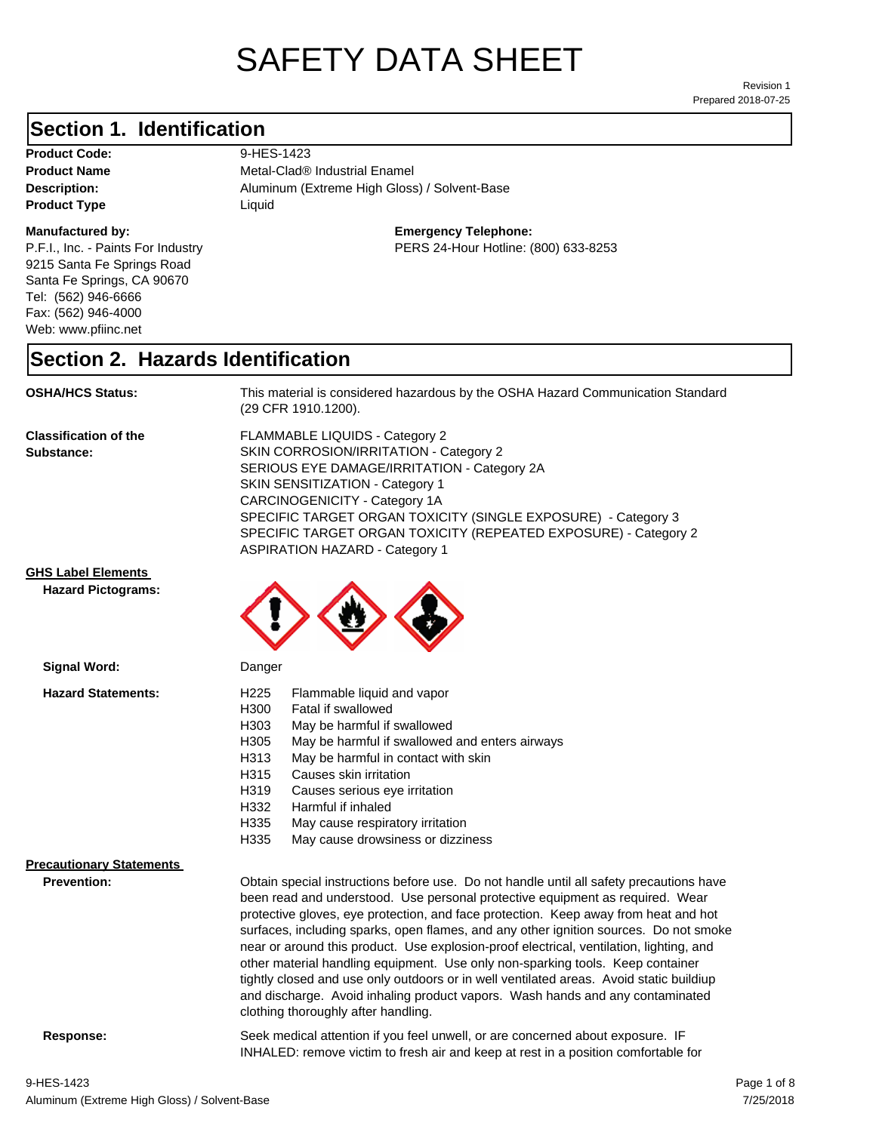# SAFETY DATA SHEET

Prepared 2018-07-25 Revision 1

### **Section 1. Identification**

Product Code: 9-HES-1423 **Product Type Liquid Liquid** 

#### **Manufactured by:**

P.F.I., Inc. - Paints For Industry 9215 Santa Fe Springs Road Santa Fe Springs, CA 90670 Tel: (562) 946-6666 Fax: (562) 946-4000 Web: www.pfiinc.net

Description: **Description:** Aluminum (Extreme High Gloss) / Solvent-Base **Product Name** Metal-Clad<sup>®</sup> Industrial Enamel

**Emergency Telephone:**

PERS 24-Hour Hotline: (800) 633-8253

#### **Section 2. Hazards Identification**

**OSHA/HCS Status:** This material is considered hazardous by the OSHA Hazard Communication Standard (29 CFR 1910.1200).

**Classification of the Substance:**

FLAMMABLE LIQUIDS - Category 2 SKIN CORROSION/IRRITATION - Category 2 SERIOUS EYE DAMAGE/IRRITATION - Category 2A SKIN SENSITIZATION - Category 1 CARCINOGENICITY - Category 1A SPECIFIC TARGET ORGAN TOXICITY (SINGLE EXPOSURE) - Category 3 SPECIFIC TARGET ORGAN TOXICITY (REPEATED EXPOSURE) - Category 2 ASPIRATION HAZARD - Category 1

#### **GHS Label Elements**

**Signal Word:**

**Hazard Pictograms:**



| <b>Hazard Statements:</b>       | Flammable liquid and vapor<br>H <sub>225</sub>                                          |
|---------------------------------|-----------------------------------------------------------------------------------------|
|                                 | H300<br>Fatal if swallowed                                                              |
|                                 | H303<br>May be harmful if swallowed                                                     |
|                                 | H305<br>May be harmful if swallowed and enters airways                                  |
|                                 | H313<br>May be harmful in contact with skin                                             |
|                                 | H315<br>Causes skin irritation                                                          |
|                                 | H319<br>Causes serious eye irritation                                                   |
|                                 | H332<br>Harmful if inhaled                                                              |
|                                 | H335<br>May cause respiratory irritation                                                |
|                                 | H335<br>May cause drowsiness or dizziness                                               |
| <b>Precautionary Statements</b> |                                                                                         |
| <b>Prevention:</b>              | Obtain special instructions before use. Do not handle until all safety precautions have |
|                                 | been read and understood. Use personal protective equipment as required. Wear           |
|                                 | protective gloves, eye protection, and face protection. Keep away from heat and hot     |
|                                 | surfaces, including sparks, open flames, and any other ignition sources. Do not smoke   |
|                                 | near or around this product. Use explosion-proof electrical, ventilation, lighting, and |
|                                 | other material handling equipment. Use only non-sparking tools. Keep container          |
|                                 | tightly closed and use only outdoors or in well ventilated areas. Avoid static buildiup |
|                                 | and discharge. Avoid inhaling product vapors. Wash hands and any contaminated           |
|                                 | clothing thoroughly after handling.                                                     |

**Response:** Seek medical attention if you feel unwell, or are concerned about exposure. IF INHALED: remove victim to fresh air and keep at rest in a position comfortable for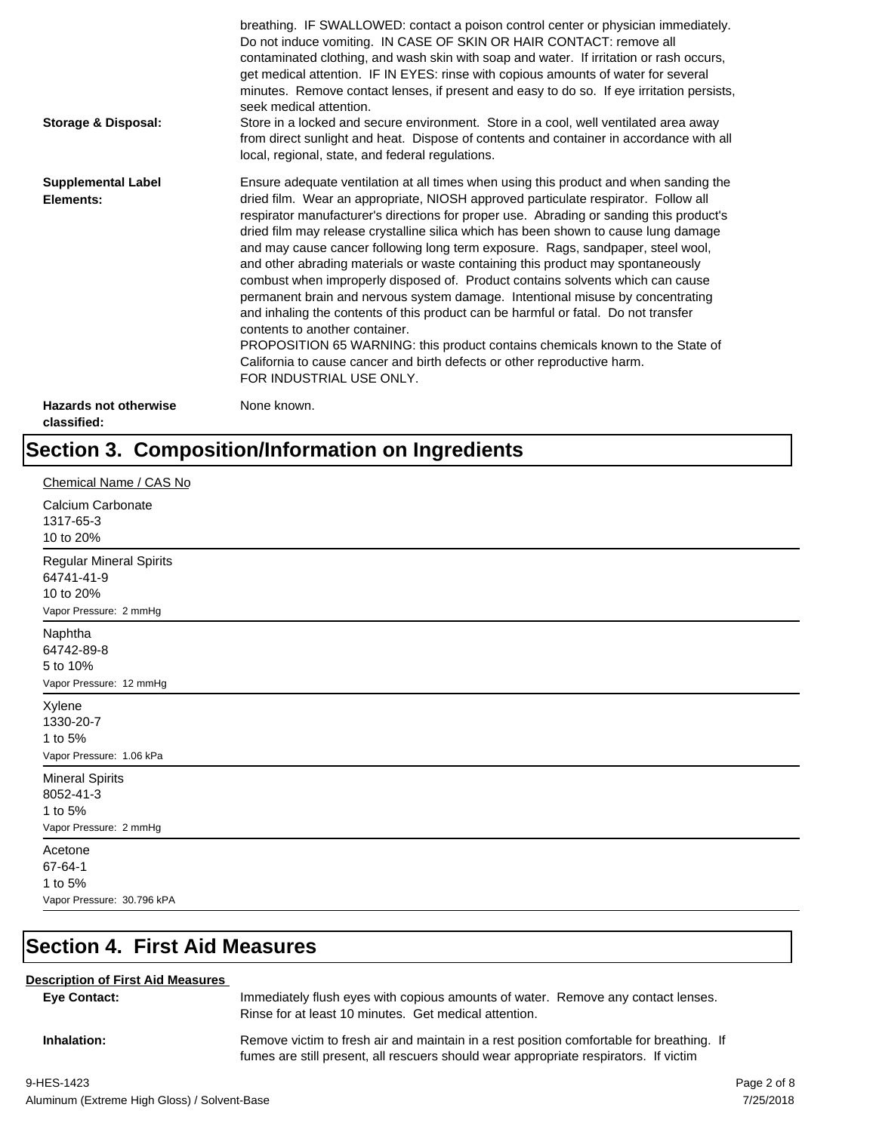| <b>Storage &amp; Disposal:</b>              | breathing. IF SWALLOWED: contact a poison control center or physician immediately.<br>Do not induce vomiting. IN CASE OF SKIN OR HAIR CONTACT: remove all<br>contaminated clothing, and wash skin with soap and water. If irritation or rash occurs,<br>get medical attention. IF IN EYES: rinse with copious amounts of water for several<br>minutes. Remove contact lenses, if present and easy to do so. If eye irritation persists,<br>seek medical attention.<br>Store in a locked and secure environment. Store in a cool, well ventilated area away<br>from direct sunlight and heat. Dispose of contents and container in accordance with all<br>local, regional, state, and federal regulations.                                                                                                                                                                                                                                                                                                                |
|---------------------------------------------|--------------------------------------------------------------------------------------------------------------------------------------------------------------------------------------------------------------------------------------------------------------------------------------------------------------------------------------------------------------------------------------------------------------------------------------------------------------------------------------------------------------------------------------------------------------------------------------------------------------------------------------------------------------------------------------------------------------------------------------------------------------------------------------------------------------------------------------------------------------------------------------------------------------------------------------------------------------------------------------------------------------------------|
| <b>Supplemental Label</b><br>Elements:      | Ensure adequate ventilation at all times when using this product and when sanding the<br>dried film. Wear an appropriate, NIOSH approved particulate respirator. Follow all<br>respirator manufacturer's directions for proper use. Abrading or sanding this product's<br>dried film may release crystalline silica which has been shown to cause lung damage<br>and may cause cancer following long term exposure. Rags, sandpaper, steel wool,<br>and other abrading materials or waste containing this product may spontaneously<br>combust when improperly disposed of. Product contains solvents which can cause<br>permanent brain and nervous system damage. Intentional misuse by concentrating<br>and inhaling the contents of this product can be harmful or fatal. Do not transfer<br>contents to another container.<br>PROPOSITION 65 WARNING: this product contains chemicals known to the State of<br>California to cause cancer and birth defects or other reproductive harm.<br>FOR INDUSTRIAL USE ONLY. |
| <b>Hazards not otherwise</b><br>classified: | None known.                                                                                                                                                                                                                                                                                                                                                                                                                                                                                                                                                                                                                                                                                                                                                                                                                                                                                                                                                                                                              |

## **Section 3. Composition/Information on Ingredients**

| Chemical Name / CAS No                                                       |
|------------------------------------------------------------------------------|
| Calcium Carbonate<br>1317-65-3<br>10 to 20%                                  |
| Regular Mineral Spirits<br>64741-41-9<br>10 to 20%<br>Vapor Pressure: 2 mmHg |
| Naphtha<br>64742-89-8<br>5 to 10%<br>Vapor Pressure: 12 mmHg                 |
| Xylene<br>1330-20-7<br>1 to 5%<br>Vapor Pressure: 1.06 kPa                   |
| <b>Mineral Spirits</b><br>8052-41-3<br>1 to 5%<br>Vapor Pressure: 2 mmHg     |
| Acetone<br>67-64-1<br>1 to 5%<br>Vapor Pressure: 30.796 kPA                  |

## **Section 4. First Aid Measures**

#### **Description of First Aid Measures**

| <b>Eve Contact:</b> | Immediately flush eyes with copious amounts of water. Remove any contact lenses.<br>Rinse for at least 10 minutes. Get medical attention.                                        |
|---------------------|----------------------------------------------------------------------------------------------------------------------------------------------------------------------------------|
| Inhalation:         | Remove victim to fresh air and maintain in a rest position comfortable for breathing. If<br>fumes are still present, all rescuers should wear appropriate respirators. If victim |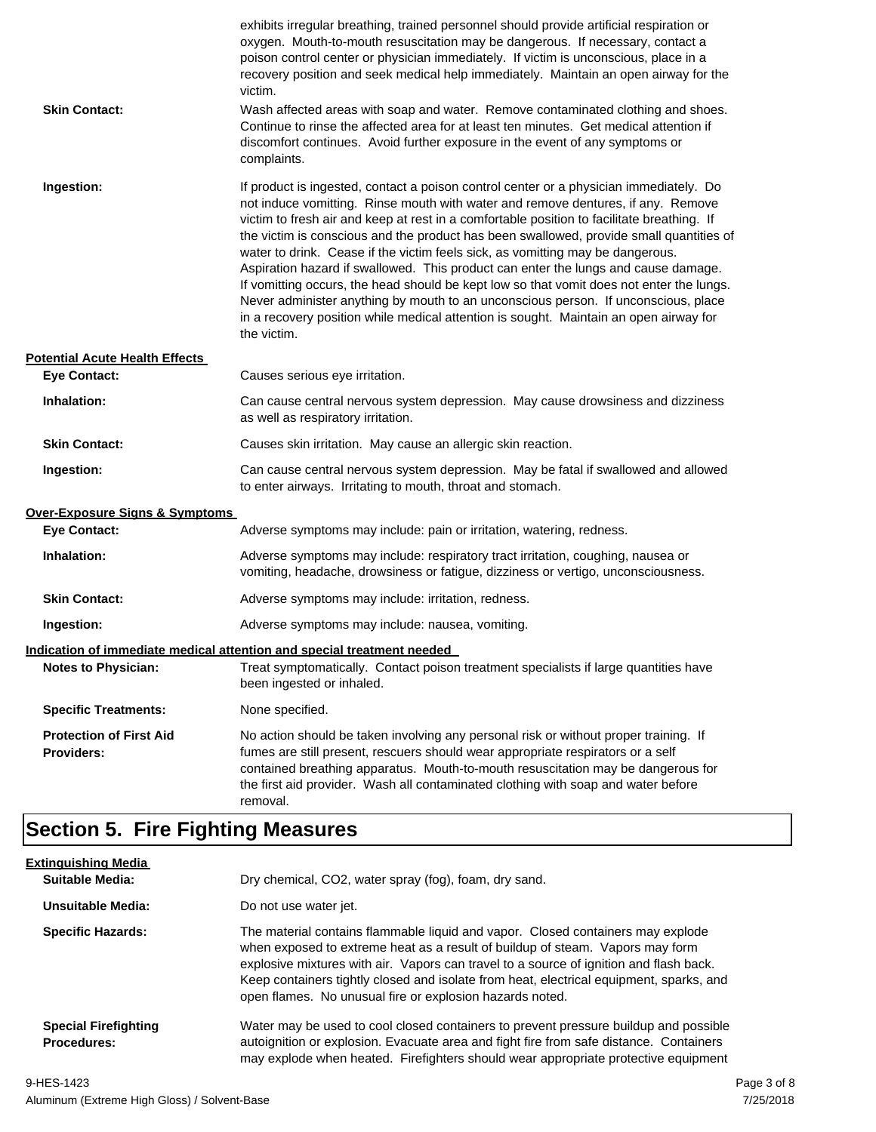| <b>Skin Contact:</b>                                | exhibits irregular breathing, trained personnel should provide artificial respiration or<br>oxygen. Mouth-to-mouth resuscitation may be dangerous. If necessary, contact a<br>poison control center or physician immediately. If victim is unconscious, place in a<br>recovery position and seek medical help immediately. Maintain an open airway for the<br>victim.<br>Wash affected areas with soap and water. Remove contaminated clothing and shoes.<br>Continue to rinse the affected area for at least ten minutes. Get medical attention if<br>discomfort continues. Avoid further exposure in the event of any symptoms or<br>complaints.                                                                                                                                                                                    |
|-----------------------------------------------------|---------------------------------------------------------------------------------------------------------------------------------------------------------------------------------------------------------------------------------------------------------------------------------------------------------------------------------------------------------------------------------------------------------------------------------------------------------------------------------------------------------------------------------------------------------------------------------------------------------------------------------------------------------------------------------------------------------------------------------------------------------------------------------------------------------------------------------------|
| Ingestion:                                          | If product is ingested, contact a poison control center or a physician immediately. Do<br>not induce vomitting. Rinse mouth with water and remove dentures, if any. Remove<br>victim to fresh air and keep at rest in a comfortable position to facilitate breathing. If<br>the victim is conscious and the product has been swallowed, provide small quantities of<br>water to drink. Cease if the victim feels sick, as vomitting may be dangerous.<br>Aspiration hazard if swallowed. This product can enter the lungs and cause damage.<br>If vomitting occurs, the head should be kept low so that vomit does not enter the lungs.<br>Never administer anything by mouth to an unconscious person. If unconscious, place<br>in a recovery position while medical attention is sought. Maintain an open airway for<br>the victim. |
| <b>Potential Acute Health Effects</b>               |                                                                                                                                                                                                                                                                                                                                                                                                                                                                                                                                                                                                                                                                                                                                                                                                                                       |
| <b>Eye Contact:</b>                                 | Causes serious eye irritation.                                                                                                                                                                                                                                                                                                                                                                                                                                                                                                                                                                                                                                                                                                                                                                                                        |
| Inhalation:                                         | Can cause central nervous system depression. May cause drowsiness and dizziness<br>as well as respiratory irritation.                                                                                                                                                                                                                                                                                                                                                                                                                                                                                                                                                                                                                                                                                                                 |
| <b>Skin Contact:</b>                                | Causes skin irritation. May cause an allergic skin reaction.                                                                                                                                                                                                                                                                                                                                                                                                                                                                                                                                                                                                                                                                                                                                                                          |
| Ingestion:                                          | Can cause central nervous system depression. May be fatal if swallowed and allowed<br>to enter airways. Irritating to mouth, throat and stomach.                                                                                                                                                                                                                                                                                                                                                                                                                                                                                                                                                                                                                                                                                      |
| <b>Over-Exposure Signs &amp; Symptoms</b>           |                                                                                                                                                                                                                                                                                                                                                                                                                                                                                                                                                                                                                                                                                                                                                                                                                                       |
| <b>Eye Contact:</b>                                 | Adverse symptoms may include: pain or irritation, watering, redness.                                                                                                                                                                                                                                                                                                                                                                                                                                                                                                                                                                                                                                                                                                                                                                  |
| Inhalation:                                         | Adverse symptoms may include: respiratory tract irritation, coughing, nausea or<br>vomiting, headache, drowsiness or fatigue, dizziness or vertigo, unconsciousness.                                                                                                                                                                                                                                                                                                                                                                                                                                                                                                                                                                                                                                                                  |
| <b>Skin Contact:</b>                                | Adverse symptoms may include: irritation, redness.                                                                                                                                                                                                                                                                                                                                                                                                                                                                                                                                                                                                                                                                                                                                                                                    |
| Ingestion:                                          | Adverse symptoms may include: nausea, vomiting.                                                                                                                                                                                                                                                                                                                                                                                                                                                                                                                                                                                                                                                                                                                                                                                       |
|                                                     | Indication of immediate medical attention and special treatment needed                                                                                                                                                                                                                                                                                                                                                                                                                                                                                                                                                                                                                                                                                                                                                                |
| <b>Notes to Physician:</b>                          | Treat symptomatically. Contact poison treatment specialists if large quantities have<br>been ingested or inhaled.                                                                                                                                                                                                                                                                                                                                                                                                                                                                                                                                                                                                                                                                                                                     |
| <b>Specific Treatments:</b>                         | None specified.                                                                                                                                                                                                                                                                                                                                                                                                                                                                                                                                                                                                                                                                                                                                                                                                                       |
| <b>Protection of First Aid</b><br><b>Providers:</b> | No action should be taken involving any personal risk or without proper training. If<br>fumes are still present, rescuers should wear appropriate respirators or a self<br>contained breathing apparatus. Mouth-to-mouth resuscitation may be dangerous for<br>the first aid provider. Wash all contaminated clothing with soap and water before<br>removal.                                                                                                                                                                                                                                                                                                                                                                                                                                                                          |

## **Section 5. Fire Fighting Measures**

| <b>Extinguishing Media</b>                        |                                                                                                                                                                                                                                                                                                                                                                                                                   |
|---------------------------------------------------|-------------------------------------------------------------------------------------------------------------------------------------------------------------------------------------------------------------------------------------------------------------------------------------------------------------------------------------------------------------------------------------------------------------------|
| Suitable Media:                                   | Dry chemical, CO2, water spray (fog), foam, dry sand.                                                                                                                                                                                                                                                                                                                                                             |
| Unsuitable Media:                                 | Do not use water jet.                                                                                                                                                                                                                                                                                                                                                                                             |
| <b>Specific Hazards:</b>                          | The material contains flammable liquid and vapor. Closed containers may explode<br>when exposed to extreme heat as a result of buildup of steam. Vapors may form<br>explosive mixtures with air. Vapors can travel to a source of ignition and flash back.<br>Keep containers tightly closed and isolate from heat, electrical equipment, sparks, and<br>open flames. No unusual fire or explosion hazards noted. |
| <b>Special Firefighting</b><br><b>Procedures:</b> | Water may be used to cool closed containers to prevent pressure buildup and possible<br>autoignition or explosion. Evacuate area and fight fire from safe distance. Containers<br>may explode when heated. Firefighters should wear appropriate protective equipment                                                                                                                                              |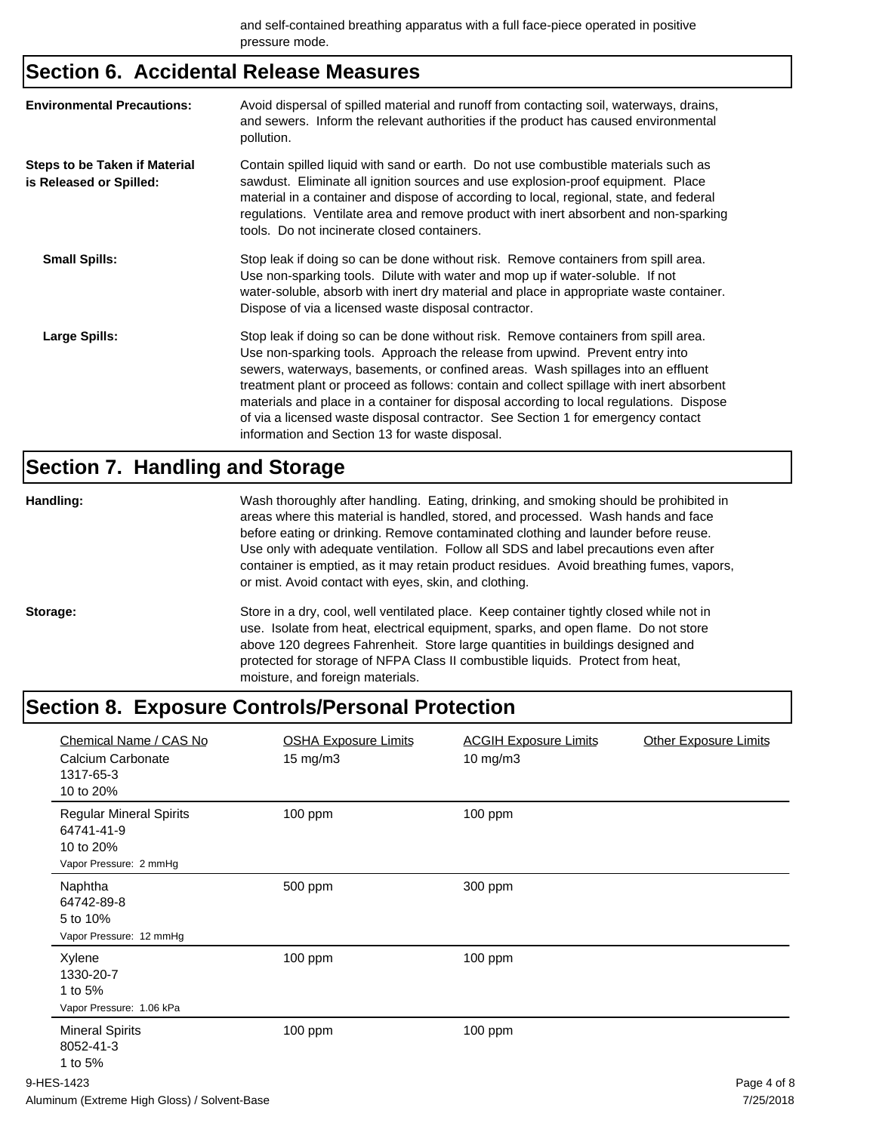## **Section 6. Accidental Release Measures**

| <b>Environmental Precautions:</b>                               | Avoid dispersal of spilled material and runoff from contacting soil, waterways, drains,<br>and sewers. Inform the relevant authorities if the product has caused environmental<br>pollution.                                                                                                                                                                                                                                                                                                                                                                                        |
|-----------------------------------------------------------------|-------------------------------------------------------------------------------------------------------------------------------------------------------------------------------------------------------------------------------------------------------------------------------------------------------------------------------------------------------------------------------------------------------------------------------------------------------------------------------------------------------------------------------------------------------------------------------------|
| <b>Steps to be Taken if Material</b><br>is Released or Spilled: | Contain spilled liquid with sand or earth. Do not use combustible materials such as<br>sawdust. Eliminate all ignition sources and use explosion-proof equipment. Place<br>material in a container and dispose of according to local, regional, state, and federal<br>regulations. Ventilate area and remove product with inert absorbent and non-sparking<br>tools. Do not incinerate closed containers.                                                                                                                                                                           |
| <b>Small Spills:</b>                                            | Stop leak if doing so can be done without risk. Remove containers from spill area.<br>Use non-sparking tools. Dilute with water and mop up if water-soluble. If not<br>water-soluble, absorb with inert dry material and place in appropriate waste container.<br>Dispose of via a licensed waste disposal contractor.                                                                                                                                                                                                                                                              |
| Large Spills:                                                   | Stop leak if doing so can be done without risk. Remove containers from spill area.<br>Use non-sparking tools. Approach the release from upwind. Prevent entry into<br>sewers, waterways, basements, or confined areas. Wash spillages into an effluent<br>treatment plant or proceed as follows: contain and collect spillage with inert absorbent<br>materials and place in a container for disposal according to local regulations. Dispose<br>of via a licensed waste disposal contractor. See Section 1 for emergency contact<br>information and Section 13 for waste disposal. |

## **Section 7. Handling and Storage**

| Handling: | Wash thoroughly after handling. Eating, drinking, and smoking should be prohibited in<br>areas where this material is handled, stored, and processed. Wash hands and face<br>before eating or drinking. Remove contaminated clothing and launder before reuse.<br>Use only with adequate ventilation. Follow all SDS and label precautions even after<br>container is emptied, as it may retain product residues. Avoid breathing fumes, vapors,<br>or mist. Avoid contact with eyes, skin, and clothing. |  |
|-----------|-----------------------------------------------------------------------------------------------------------------------------------------------------------------------------------------------------------------------------------------------------------------------------------------------------------------------------------------------------------------------------------------------------------------------------------------------------------------------------------------------------------|--|
| Storage:  | Store in a dry, cool, well ventilated place. Keep container tightly closed while not in<br>use. Isolate from heat, electrical equipment, sparks, and open flame. Do not store<br>above 120 degrees Fahrenheit. Store large quantities in buildings designed and<br>protected for storage of NFPA Class II combustible liquids. Protect from heat,<br>moisture, and foreign materials.                                                                                                                     |  |

## **Section 8. Exposure Controls/Personal Protection**

| Chemical Name / CAS No<br>Calcium Carbonate<br>1317-65-3<br>10 to 20%               | <b>OSHA Exposure Limits</b><br>$15 \text{ mg/m}$ | <b>ACGIH Exposure Limits</b><br>10 mg/m3 | <b>Other Exposure Limits</b> |
|-------------------------------------------------------------------------------------|--------------------------------------------------|------------------------------------------|------------------------------|
| <b>Regular Mineral Spirits</b><br>64741-41-9<br>10 to 20%<br>Vapor Pressure: 2 mmHg | 100 ppm                                          | 100 ppm                                  |                              |
| Naphtha<br>64742-89-8<br>5 to 10%<br>Vapor Pressure: 12 mmHg                        | 500 ppm                                          | 300 ppm                                  |                              |
| Xylene<br>1330-20-7<br>1 to 5%<br>Vapor Pressure: 1.06 kPa                          | 100 ppm                                          | 100 ppm                                  |                              |
| <b>Mineral Spirits</b><br>8052-41-3<br>1 to 5%                                      | 100 ppm                                          | 100 ppm                                  |                              |
| 9-HES-1423                                                                          |                                                  |                                          | Page 4 of 8                  |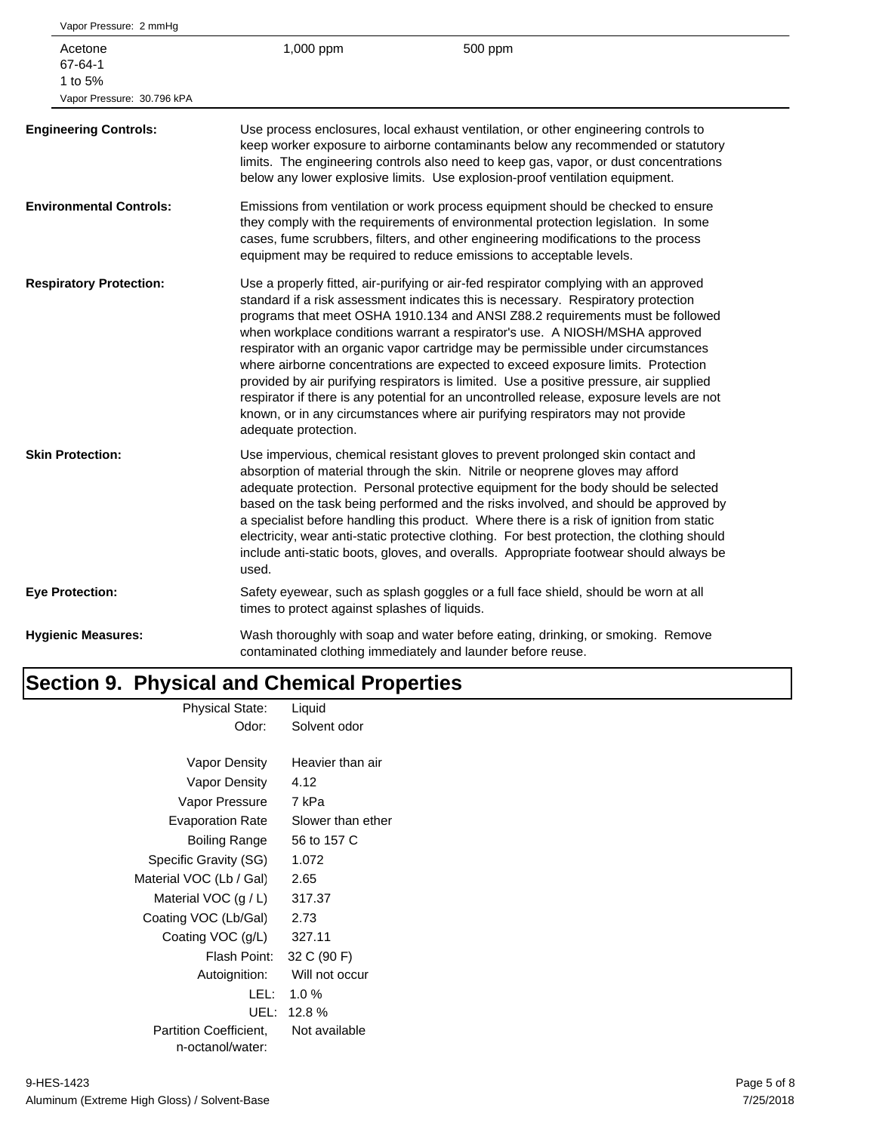| 1,000 ppm            | 500 ppm                                                                                                                                                                                                                                                                                                                                                                                                                                                                                                                                                                                                                                                                                                                                                                                       |
|----------------------|-----------------------------------------------------------------------------------------------------------------------------------------------------------------------------------------------------------------------------------------------------------------------------------------------------------------------------------------------------------------------------------------------------------------------------------------------------------------------------------------------------------------------------------------------------------------------------------------------------------------------------------------------------------------------------------------------------------------------------------------------------------------------------------------------|
|                      | Use process enclosures, local exhaust ventilation, or other engineering controls to<br>keep worker exposure to airborne contaminants below any recommended or statutory<br>limits. The engineering controls also need to keep gas, vapor, or dust concentrations<br>below any lower explosive limits. Use explosion-proof ventilation equipment.                                                                                                                                                                                                                                                                                                                                                                                                                                              |
|                      | Emissions from ventilation or work process equipment should be checked to ensure<br>they comply with the requirements of environmental protection legislation. In some<br>cases, fume scrubbers, filters, and other engineering modifications to the process<br>equipment may be required to reduce emissions to acceptable levels.                                                                                                                                                                                                                                                                                                                                                                                                                                                           |
| adequate protection. | Use a properly fitted, air-purifying or air-fed respirator complying with an approved<br>standard if a risk assessment indicates this is necessary. Respiratory protection<br>programs that meet OSHA 1910.134 and ANSI Z88.2 requirements must be followed<br>when workplace conditions warrant a respirator's use. A NIOSH/MSHA approved<br>respirator with an organic vapor cartridge may be permissible under circumstances<br>where airborne concentrations are expected to exceed exposure limits. Protection<br>provided by air purifying respirators is limited. Use a positive pressure, air supplied<br>respirator if there is any potential for an uncontrolled release, exposure levels are not<br>known, or in any circumstances where air purifying respirators may not provide |
| used.                | Use impervious, chemical resistant gloves to prevent prolonged skin contact and<br>absorption of material through the skin. Nitrile or neoprene gloves may afford<br>adequate protection. Personal protective equipment for the body should be selected<br>based on the task being performed and the risks involved, and should be approved by<br>a specialist before handling this product. Where there is a risk of ignition from static<br>electricity, wear anti-static protective clothing. For best protection, the clothing should<br>include anti-static boots, gloves, and overalls. Appropriate footwear should always be                                                                                                                                                           |
|                      | Safety eyewear, such as splash goggles or a full face shield, should be worn at all                                                                                                                                                                                                                                                                                                                                                                                                                                                                                                                                                                                                                                                                                                           |
|                      | Wash thoroughly with soap and water before eating, drinking, or smoking. Remove<br>contaminated clothing immediately and launder before reuse.                                                                                                                                                                                                                                                                                                                                                                                                                                                                                                                                                                                                                                                |
|                      | times to protect against splashes of liquids.                                                                                                                                                                                                                                                                                                                                                                                                                                                                                                                                                                                                                                                                                                                                                 |

#### **Section 9. Physical and Chemical Properties** Physical State: Liquid

| r riyaludi Oldi <del>c</del> . | Liyuiu            |
|--------------------------------|-------------------|
| Odor:                          | Solvent odor      |
|                                |                   |
| Vapor Density                  | Heavier than air  |
| Vapor Density                  | 4.12              |
| Vapor Pressure                 | 7 kPa             |
| <b>Evaporation Rate</b>        | Slower than ether |
| Boiling Range                  | 56 to 157 C       |
| Specific Gravity (SG)          | 1.072             |
| Material VOC (Lb / Gal)        | 2.65              |
| Material VOC $(g/L)$           | 317.37            |
| Coating VOC (Lb/Gal)           | 2.73              |
| Coating VOC (g/L)              | 327.11            |
| Flash Point:                   | 32 C (90 F)       |
| Autoignition:                  | Will not occur    |
| LEL:                           | $1.0 \%$          |
| UEL:                           | 12.8%             |
| <b>Partition Coefficient.</b>  | Not available     |
| n-octanol/water:               |                   |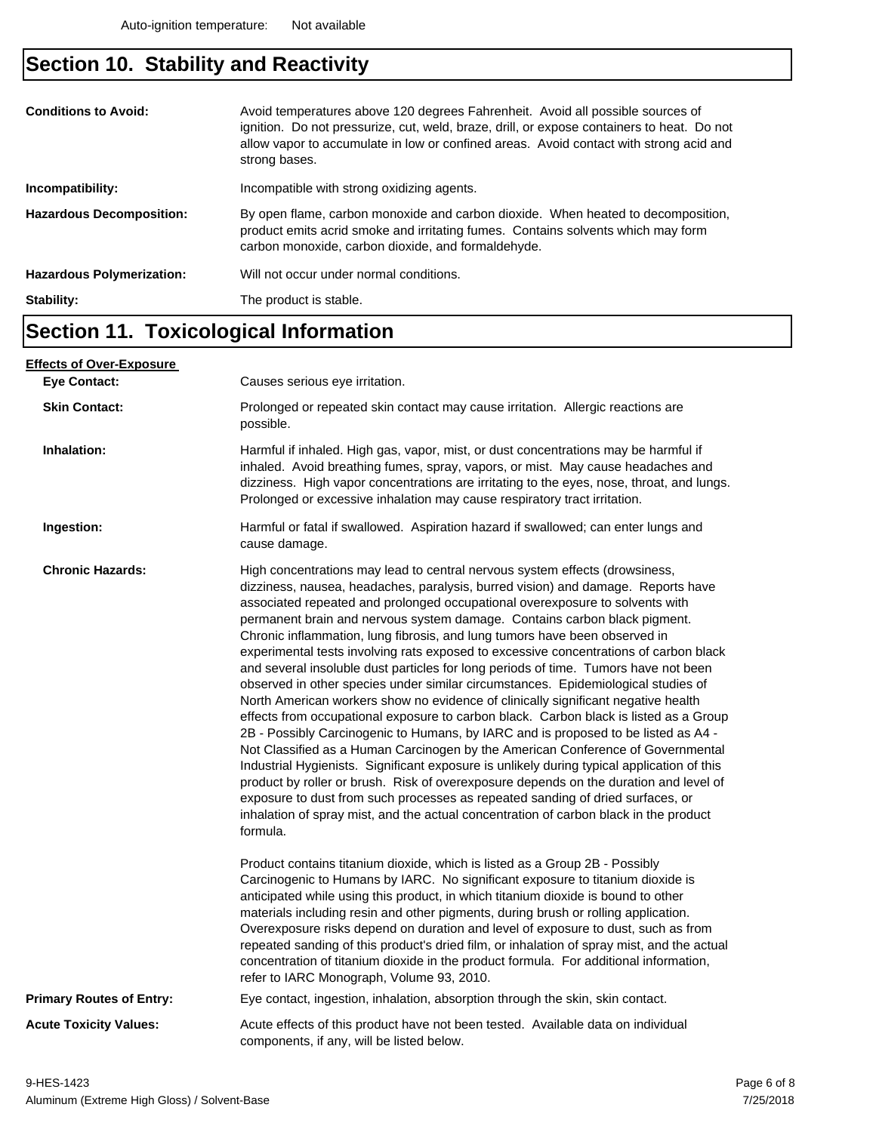## **Section 10. Stability and Reactivity**

| Incompatibility:<br><b>Hazardous Decomposition:</b> | allow vapor to accumulate in low or confined areas. Avoid contact with strong acid and<br>strong bases.<br>Incompatible with strong oxidizing agents.<br>By open flame, carbon monoxide and carbon dioxide. When heated to decomposition, |
|-----------------------------------------------------|-------------------------------------------------------------------------------------------------------------------------------------------------------------------------------------------------------------------------------------------|
|                                                     | product emits acrid smoke and irritating fumes. Contains solvents which may form<br>carbon monoxide, carbon dioxide, and formaldehyde.                                                                                                    |
| <b>Hazardous Polymerization:</b>                    | Will not occur under normal conditions.                                                                                                                                                                                                   |
| Stability:                                          | The product is stable.                                                                                                                                                                                                                    |

## **Section 11. Toxicological Information**

| <u>Effects of Over-Exposure_</u> |                                                                                                                                                                                                                                                                                                                                                                                                                                                                                                                                                                                                                                                                                                                                                                                                                                                                                                                                                                                                                                                                                                                                                                                                                                                                                                                                                                                                                      |  |  |
|----------------------------------|----------------------------------------------------------------------------------------------------------------------------------------------------------------------------------------------------------------------------------------------------------------------------------------------------------------------------------------------------------------------------------------------------------------------------------------------------------------------------------------------------------------------------------------------------------------------------------------------------------------------------------------------------------------------------------------------------------------------------------------------------------------------------------------------------------------------------------------------------------------------------------------------------------------------------------------------------------------------------------------------------------------------------------------------------------------------------------------------------------------------------------------------------------------------------------------------------------------------------------------------------------------------------------------------------------------------------------------------------------------------------------------------------------------------|--|--|
| <b>Eve Contact:</b>              | Causes serious eye irritation.                                                                                                                                                                                                                                                                                                                                                                                                                                                                                                                                                                                                                                                                                                                                                                                                                                                                                                                                                                                                                                                                                                                                                                                                                                                                                                                                                                                       |  |  |
| <b>Skin Contact:</b>             | Prolonged or repeated skin contact may cause irritation. Allergic reactions are<br>possible.                                                                                                                                                                                                                                                                                                                                                                                                                                                                                                                                                                                                                                                                                                                                                                                                                                                                                                                                                                                                                                                                                                                                                                                                                                                                                                                         |  |  |
| Inhalation:                      | Harmful if inhaled. High gas, vapor, mist, or dust concentrations may be harmful if<br>inhaled. Avoid breathing fumes, spray, vapors, or mist. May cause headaches and<br>dizziness. High vapor concentrations are irritating to the eyes, nose, throat, and lungs.<br>Prolonged or excessive inhalation may cause respiratory tract irritation.                                                                                                                                                                                                                                                                                                                                                                                                                                                                                                                                                                                                                                                                                                                                                                                                                                                                                                                                                                                                                                                                     |  |  |
| Ingestion:                       | Harmful or fatal if swallowed. Aspiration hazard if swallowed; can enter lungs and<br>cause damage.                                                                                                                                                                                                                                                                                                                                                                                                                                                                                                                                                                                                                                                                                                                                                                                                                                                                                                                                                                                                                                                                                                                                                                                                                                                                                                                  |  |  |
| <b>Chronic Hazards:</b>          | High concentrations may lead to central nervous system effects (drowsiness,<br>dizziness, nausea, headaches, paralysis, burred vision) and damage. Reports have<br>associated repeated and prolonged occupational overexposure to solvents with<br>permanent brain and nervous system damage. Contains carbon black pigment.<br>Chronic inflammation, lung fibrosis, and lung tumors have been observed in<br>experimental tests involving rats exposed to excessive concentrations of carbon black<br>and several insoluble dust particles for long periods of time. Tumors have not been<br>observed in other species under similar circumstances. Epidemiological studies of<br>North American workers show no evidence of clinically significant negative health<br>effects from occupational exposure to carbon black. Carbon black is listed as a Group<br>2B - Possibly Carcinogenic to Humans, by IARC and is proposed to be listed as A4 -<br>Not Classified as a Human Carcinogen by the American Conference of Governmental<br>Industrial Hygienists. Significant exposure is unlikely during typical application of this<br>product by roller or brush. Risk of overexposure depends on the duration and level of<br>exposure to dust from such processes as repeated sanding of dried surfaces, or<br>inhalation of spray mist, and the actual concentration of carbon black in the product<br>formula. |  |  |
|                                  | Product contains titanium dioxide, which is listed as a Group 2B - Possibly<br>Carcinogenic to Humans by IARC. No significant exposure to titanium dioxide is<br>anticipated while using this product, in which titanium dioxide is bound to other<br>materials including resin and other pigments, during brush or rolling application.<br>Overexposure risks depend on duration and level of exposure to dust, such as from<br>repeated sanding of this product's dried film, or inhalation of spray mist, and the actual<br>concentration of titanium dioxide in the product formula. For additional information,<br>refer to IARC Monograph, Volume 93, 2010.                                                                                                                                                                                                                                                                                                                                                                                                                                                                                                                                                                                                                                                                                                                                                    |  |  |
| <b>Primary Routes of Entry:</b>  | Eye contact, ingestion, inhalation, absorption through the skin, skin contact.                                                                                                                                                                                                                                                                                                                                                                                                                                                                                                                                                                                                                                                                                                                                                                                                                                                                                                                                                                                                                                                                                                                                                                                                                                                                                                                                       |  |  |
| <b>Acute Toxicity Values:</b>    | Acute effects of this product have not been tested. Available data on individual<br>components, if any, will be listed below.                                                                                                                                                                                                                                                                                                                                                                                                                                                                                                                                                                                                                                                                                                                                                                                                                                                                                                                                                                                                                                                                                                                                                                                                                                                                                        |  |  |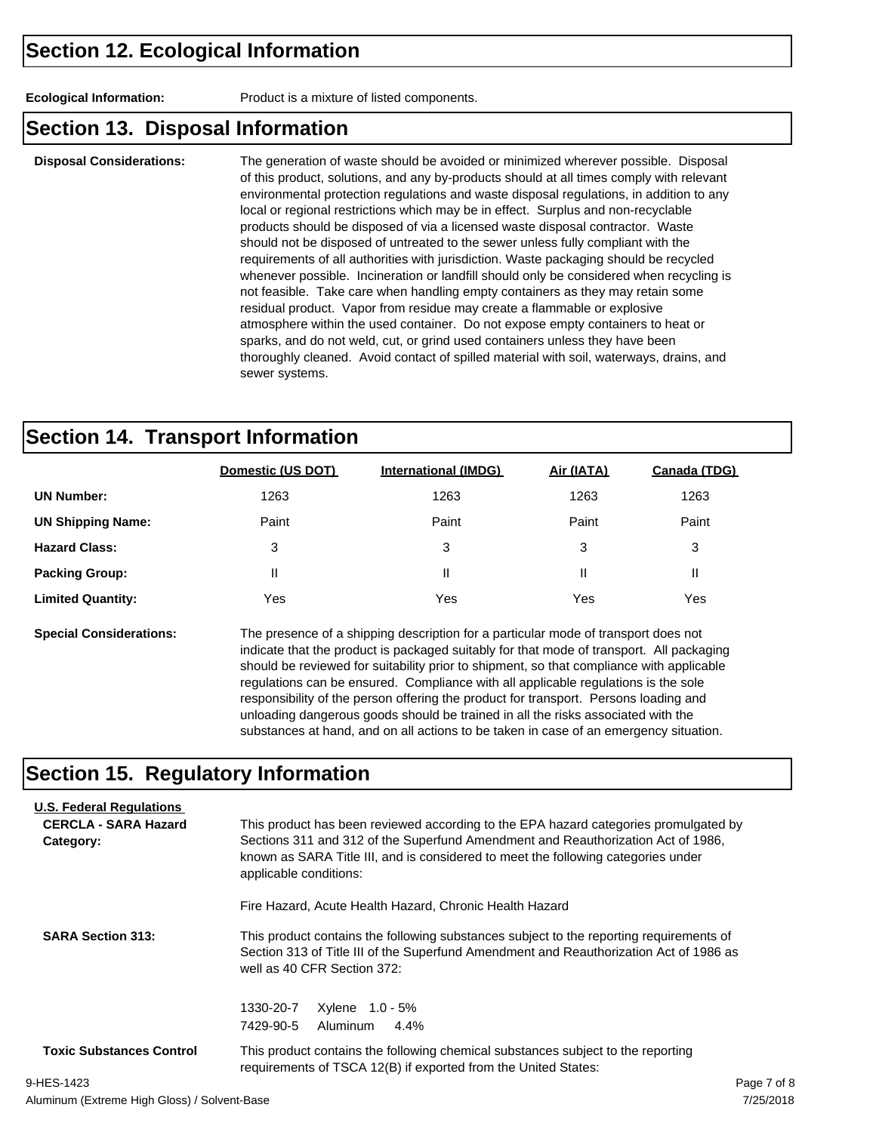**Ecological Information:** Product is a mixture of listed components.

#### **Section 13. Disposal Information**

**Disposal Considerations:** The generation of waste should be avoided or minimized wherever possible. Disposal of this product, solutions, and any by-products should at all times comply with relevant environmental protection regulations and waste disposal regulations, in addition to any local or regional restrictions which may be in effect. Surplus and non-recyclable products should be disposed of via a licensed waste disposal contractor. Waste should not be disposed of untreated to the sewer unless fully compliant with the requirements of all authorities with jurisdiction. Waste packaging should be recycled whenever possible. Incineration or landfill should only be considered when recycling is not feasible. Take care when handling empty containers as they may retain some residual product. Vapor from residue may create a flammable or explosive atmosphere within the used container. Do not expose empty containers to heat or sparks, and do not weld, cut, or grind used containers unless they have been thoroughly cleaned. Avoid contact of spilled material with soil, waterways, drains, and sewer systems.

#### **Section 14. Transport Information**

|                          | Domestic (US DOT) | <b>International (IMDG)</b> | Air (IATA) | Canada (TDG) |
|--------------------------|-------------------|-----------------------------|------------|--------------|
| <b>UN Number:</b>        | 1263              | 1263                        | 1263       | 1263         |
| <b>UN Shipping Name:</b> | Paint             | Paint                       | Paint      | Paint        |
| <b>Hazard Class:</b>     | 3                 | 3                           | 3          | 3            |
| <b>Packing Group:</b>    | $\mathsf{I}$      | Ш                           | Ш          | Ш            |
| <b>Limited Quantity:</b> | Yes               | Yes                         | Yes        | Yes          |
|                          |                   |                             |            |              |

**Special Considerations:** The presence of a shipping description for a particular mode of transport does not indicate that the product is packaged suitably for that mode of transport. All packaging should be reviewed for suitability prior to shipment, so that compliance with applicable regulations can be ensured. Compliance with all applicable regulations is the sole responsibility of the person offering the product for transport. Persons loading and unloading dangerous goods should be trained in all the risks associated with the substances at hand, and on all actions to be taken in case of an emergency situation.

#### **Section 15. Regulatory Information**

| <b>U.S. Federal Regulations</b><br><b>CERCLA - SARA Hazard</b><br>Category: | This product has been reviewed according to the EPA hazard categories promulgated by<br>Sections 311 and 312 of the Superfund Amendment and Reauthorization Act of 1986.<br>known as SARA Title III, and is considered to meet the following categories under<br>applicable conditions:<br>Fire Hazard, Acute Health Hazard, Chronic Health Hazard<br>This product contains the following substances subject to the reporting requirements of<br>Section 313 of Title III of the Superfund Amendment and Reauthorization Act of 1986 as<br>well as 40 CFR Section 372: |             |  |  |
|-----------------------------------------------------------------------------|------------------------------------------------------------------------------------------------------------------------------------------------------------------------------------------------------------------------------------------------------------------------------------------------------------------------------------------------------------------------------------------------------------------------------------------------------------------------------------------------------------------------------------------------------------------------|-------------|--|--|
|                                                                             |                                                                                                                                                                                                                                                                                                                                                                                                                                                                                                                                                                        |             |  |  |
| <b>SARA Section 313:</b>                                                    |                                                                                                                                                                                                                                                                                                                                                                                                                                                                                                                                                                        |             |  |  |
|                                                                             | 1330-20-7<br>$X$ ylene $1.0 - 5\%$                                                                                                                                                                                                                                                                                                                                                                                                                                                                                                                                     |             |  |  |
|                                                                             | 7429-90-5<br>4.4%<br>Aluminum                                                                                                                                                                                                                                                                                                                                                                                                                                                                                                                                          |             |  |  |
| <b>Toxic Substances Control</b>                                             | This product contains the following chemical substances subject to the reporting<br>requirements of TSCA 12(B) if exported from the United States:                                                                                                                                                                                                                                                                                                                                                                                                                     |             |  |  |
| 9-HES-1423                                                                  |                                                                                                                                                                                                                                                                                                                                                                                                                                                                                                                                                                        | Page 7 of 8 |  |  |